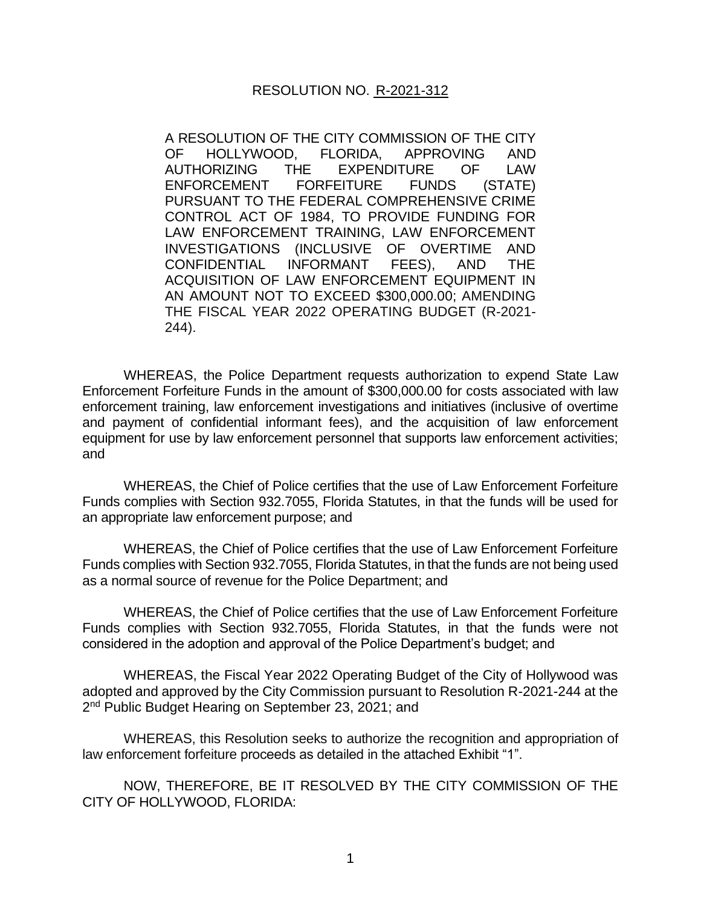## RESOLUTION NO. R-2021-312

A RESOLUTION OF THE CITY COMMISSION OF THE CITY OF HOLLYWOOD, FLORIDA, APPROVING AND AUTHORIZING THE EXPENDITURE OF LAW ENFORCEMENT FORFEITURE FUNDS (STATE) PURSUANT TO THE FEDERAL COMPREHENSIVE CRIME CONTROL ACT OF 1984, TO PROVIDE FUNDING FOR LAW ENFORCEMENT TRAINING, LAW ENFORCEMENT INVESTIGATIONS (INCLUSIVE OF OVERTIME AND CONFIDENTIAL INFORMANT FEES), AND THE ACQUISITION OF LAW ENFORCEMENT EQUIPMENT IN AN AMOUNT NOT TO EXCEED \$300,000.00; AMENDING THE FISCAL YEAR 2022 OPERATING BUDGET (R-2021- 244).

WHEREAS, the Police Department requests authorization to expend State Law Enforcement Forfeiture Funds in the amount of \$300,000.00 for costs associated with law enforcement training, law enforcement investigations and initiatives (inclusive of overtime and payment of confidential informant fees), and the acquisition of law enforcement equipment for use by law enforcement personnel that supports law enforcement activities; and

WHEREAS, the Chief of Police certifies that the use of Law Enforcement Forfeiture Funds complies with Section 932.7055, Florida Statutes, in that the funds will be used for an appropriate law enforcement purpose; and

WHEREAS, the Chief of Police certifies that the use of Law Enforcement Forfeiture Funds complies with Section 932.7055, Florida Statutes, in that the funds are not being used as a normal source of revenue for the Police Department; and

WHEREAS, the Chief of Police certifies that the use of Law Enforcement Forfeiture Funds complies with Section 932.7055, Florida Statutes, in that the funds were not considered in the adoption and approval of the Police Department's budget; and

WHEREAS, the Fiscal Year 2022 Operating Budget of the City of Hollywood was adopted and approved by the City Commission pursuant to Resolution R-2021-244 at the 2<sup>nd</sup> Public Budget Hearing on September 23, 2021; and

WHEREAS, this Resolution seeks to authorize the recognition and appropriation of law enforcement forfeiture proceeds as detailed in the attached Exhibit "1".

NOW, THEREFORE, BE IT RESOLVED BY THE CITY COMMISSION OF THE CITY OF HOLLYWOOD, FLORIDA: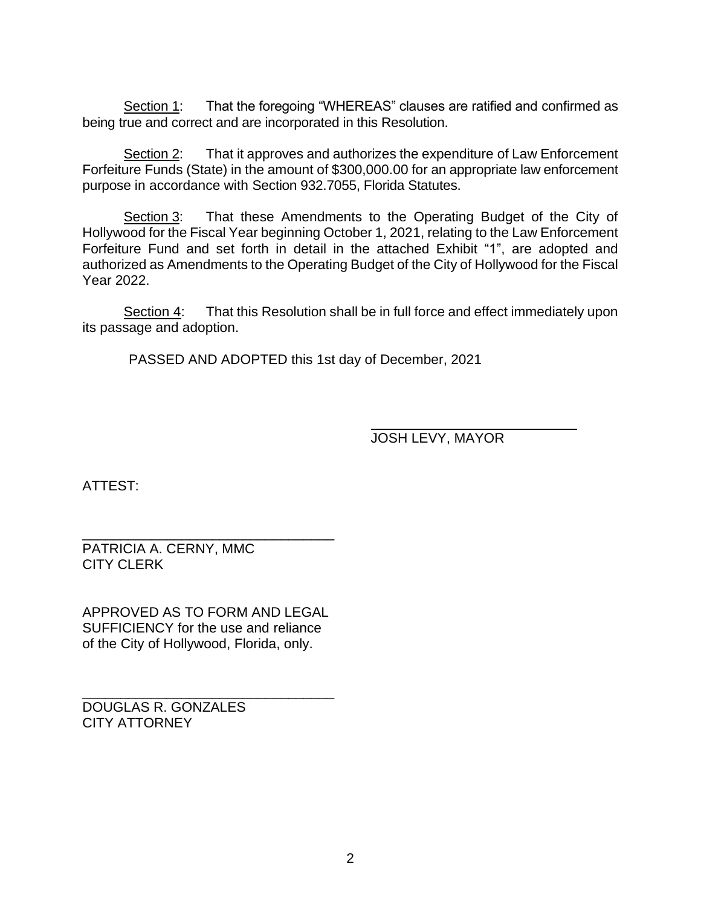Section 1: That the foregoing "WHEREAS" clauses are ratified and confirmed as being true and correct and are incorporated in this Resolution.

Section 2: That it approves and authorizes the expenditure of Law Enforcement Forfeiture Funds (State) in the amount of \$300,000.00 for an appropriate law enforcement purpose in accordance with Section 932.7055, Florida Statutes.

Section 3: That these Amendments to the Operating Budget of the City of Hollywood for the Fiscal Year beginning October 1, 2021, relating to the Law Enforcement Forfeiture Fund and set forth in detail in the attached Exhibit "1", are adopted and authorized as Amendments to the Operating Budget of the City of Hollywood for the Fiscal Year 2022.

Section 4: That this Resolution shall be in full force and effect immediately upon its passage and adoption.

PASSED AND ADOPTED this 1st day of December, 2021

JOSH LEVY, MAYOR

ATTEST:

\_\_\_\_\_\_\_\_\_\_\_\_\_\_\_\_\_\_\_\_\_\_\_\_\_\_\_\_\_\_\_\_\_ PATRICIA A. CERNY, MMC CITY CLERK

APPROVED AS TO FORM AND LEGAL SUFFICIENCY for the use and reliance of the City of Hollywood, Florida, only.

\_\_\_\_\_\_\_\_\_\_\_\_\_\_\_\_\_\_\_\_\_\_\_\_\_\_\_\_\_\_\_\_\_

DOUGLAS R. GONZALES CITY ATTORNEY